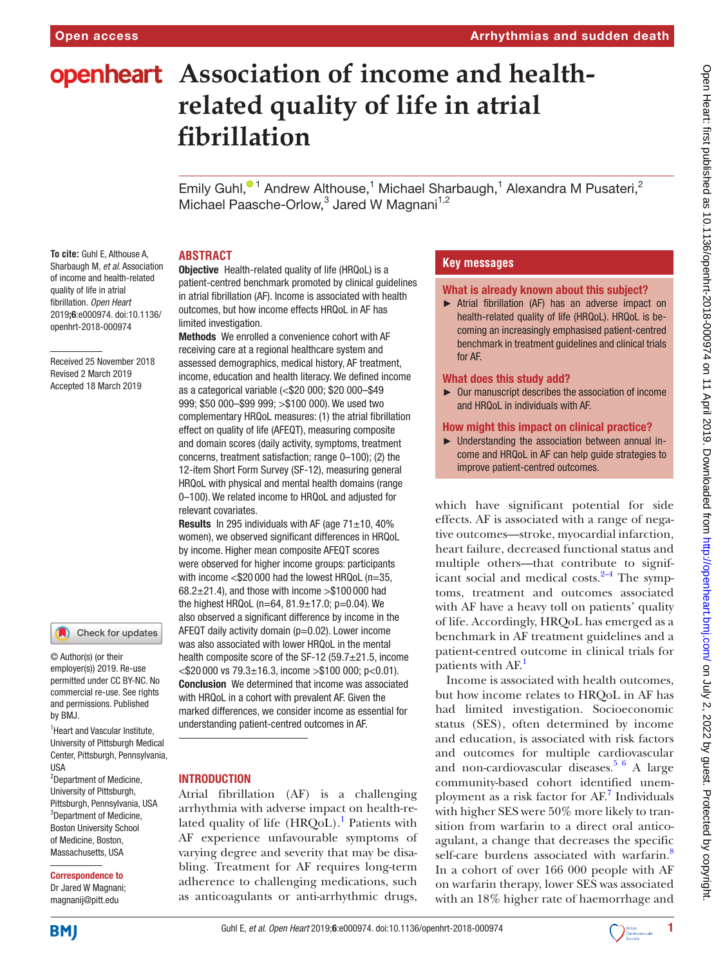# **openheart** Association of income and health**related quality of life in atrial fibrillation**

Emily Guhl[,](http://orcid.org/0000-0002-9153-6016)<sup>® 1</sup> Andrew Althouse,<sup>1</sup> Michael Sharbaugh,<sup>1</sup> Alexandra M Pusateri,<sup>2</sup> Michael Paasche-Orlow,<sup>3</sup> Jared W Magnani<sup>1,2</sup>

# **Abstract**

**To cite:** Guhl E, Althouse A, Sharbaugh M*, et al*. Association of income and health-related quality of life in atrial fibrillation*. Open Heart* 2019;6:e000974. doi:10.1136/ openhrt-2018-000974

Received 25 November 2018 Revised 2 March 2019 Accepted 18 March 2019

# Check for updates

© Author(s) (or their employer(s)) 2019. Re-use permitted under CC BY-NC. No commercial re-use. See rights and permissions. Published by BMJ.

<sup>1</sup> Heart and Vascular Institute, University of Pittsburgh Medical Center, Pittsburgh, Pennsylvania, USA

<sup>2</sup>Department of Medicine, University of Pittsburgh, Pittsburgh, Pennsylvania, USA <sup>3</sup>Department of Medicine, Boston University School of Medicine, Boston, Massachusetts, USA

# Correspondence to

Dr Jared W Magnani; magnanij@pitt.edu

**Objective** Health-related quality of life (HRQoL) is a patient-centred benchmark promoted by clinical guidelines in atrial fibrillation (AF). Income is associated with health outcomes, but how income effects HRQoL in AF has limited investigation.

Methods We enrolled a convenience cohort with AF receiving care at a regional healthcare system and assessed demographics, medical history, AF treatment, income, education and health literacy. We defined income as a categorical variable (<\$20 000; \$20 000–\$49 999; \$50 000–\$99 999; >\$100 000). We used two complementary HRQoL measures: (1) the atrial fibrillation effect on quality of life (AFEQT), measuring composite and domain scores (daily activity, symptoms, treatment concerns, treatment satisfaction; range 0–100); (2) the 12-item Short Form Survey (SF-12), measuring general HRQoL with physical and mental health domains (range 0–100). We related income to HRQoL and adjusted for relevant covariates.

**Results** In 295 individuals with AF (age  $71\pm10$ , 40%) women), we observed significant differences in HRQoL by income. Higher mean composite AFEQT scores were observed for higher income groups: participants with income <\$20 000 had the lowest HRQoL (n=35,  $68.2 \pm 21.4$ ), and those with income  $> $100000$  had the highest HRQoL ( $n=64$ ,  $81.9\pm17.0$ ;  $p=0.04$ ). We also observed a significant difference by income in the AFEQT daily activity domain ( $p=0.02$ ). Lower income was also associated with lower HRQoL in the mental health composite score of the SF-12 (59.7±21.5, income  $<$ \$20 000 vs 79.3 $\pm$ 16.3, income >\$100 000; p<0.01). Conclusion We determined that income was associated with HRQoL in a cohort with prevalent AF. Given the marked differences, we consider income as essential for understanding patient-centred outcomes in AF.

# **INTRODUCTION**

Atrial fibrillation (AF) is a challenging arrhythmia with adverse impact on health-related quality of life  $(HRQoL).$ <sup>[1](#page-7-0)</sup> Patients with AF experience unfavourable symptoms of varying degree and severity that may be disabling. Treatment for AF requires long-term adherence to challenging medications, such as anticoagulants or anti-arrhythmic drugs,

# **Key messages**

#### What is already known about this subject?

► Atrial fibrillation (AF) has an adverse impact on health-related quality of life (HRQoL). HRQoL is becoming an increasingly emphasised patient-centred benchmark in treatment guidelines and clinical trials for AF.

#### What does this study add?

► Our manuscript describes the association of income and HRQoL in individuals with AF.

#### How might this impact on clinical practice?

► Understanding the association between annual income and HRQoL in AF can help guide strategies to improve patient-centred outcomes.

which have significant potential for side effects. AF is associated with a range of negative outcomes—stroke, myocardial infarction, heart failure, decreased functional status and multiple others—that contribute to significant social and medical costs. $2-4$  The symptoms, treatment and outcomes associated with AF have a heavy toll on patients' quality of life. Accordingly, HRQoL has emerged as a benchmark in AF treatment guidelines and a patient-centred outcome in clinical trials for patients with AF.

Income is associated with health outcomes, but how income relates to HRQoL in AF has had limited investigation. Socioeconomic status (SES), often determined by income and education, is associated with risk factors and outcomes for multiple cardiovascular and non-cardiovascular diseases.<sup>5  $6$ </sup> A large community-based cohort identified unem-ployment as a risk factor for AF.<sup>[7](#page-7-3)</sup> Individuals with higher SES were 50% more likely to transition from warfarin to a direct oral anticoagulant, a change that decreases the specific self-care burdens associated with warfarin.<sup>8</sup> In a cohort of over 166 000 people with AF on warfarin therapy, lower SES was associated with an 18% higher rate of haemorrhage and

**BMJ** 

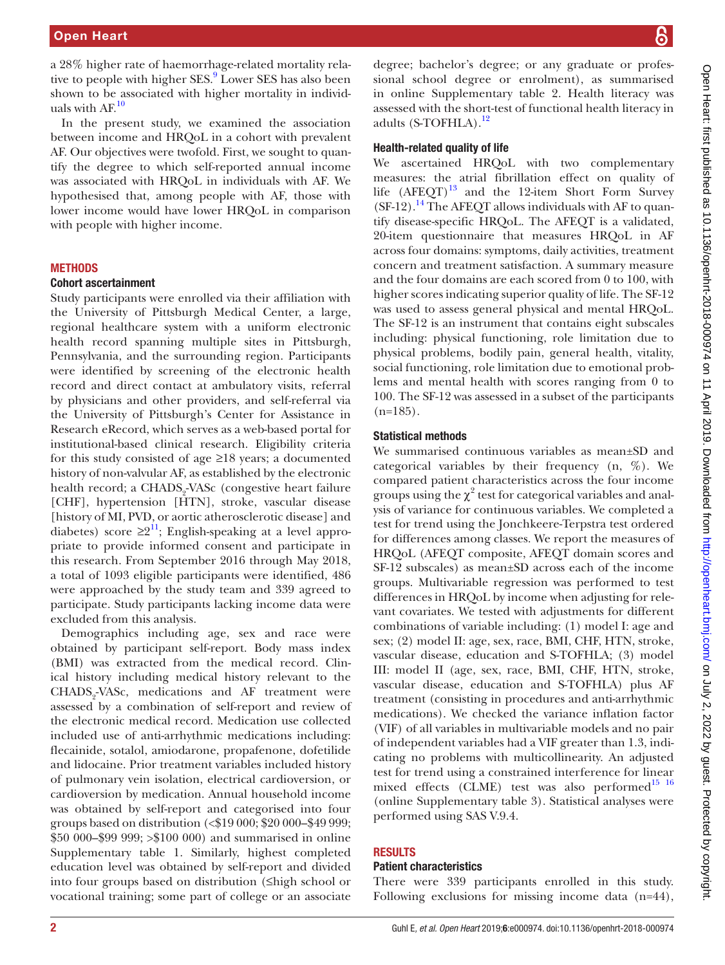a 28% higher rate of haemorrhage-related mortality relative to people with higher SES.<sup>9</sup> Lower SES has also been shown to be associated with higher mortality in individ-uals with AF.<sup>[10](#page-7-6)</sup>

In the present study, we examined the association between income and HRQoL in a cohort with prevalent AF. Our objectives were twofold. First, we sought to quantify the degree to which self-reported annual income was associated with HRQoL in individuals with AF. We hypothesised that, among people with AF, those with lower income would have lower HRQoL in comparison with people with higher income.

#### **METHODS**

#### Cohort ascertainment

Study participants were enrolled via their affiliation with the University of Pittsburgh Medical Center, a large, regional healthcare system with a uniform electronic health record spanning multiple sites in Pittsburgh, Pennsylvania, and the surrounding region. Participants were identified by screening of the electronic health record and direct contact at ambulatory visits, referral by physicians and other providers, and self-referral via the University of Pittsburgh's Center for Assistance in Research eRecord, which serves as a web-based portal for institutional-based clinical research. Eligibility criteria for this study consisted of age ≥18 years; a documented history of non-valvular AF, as established by the electronic health record; a CHADS<sub>2</sub>-VASc (congestive heart failure [CHF], hypertension [HTN], stroke, vascular disease [history of MI, PVD, or aortic atherosclerotic disease] and diabetes) score  $\geq 2^{11}$  $\geq 2^{11}$  $\geq 2^{11}$ ; English-speaking at a level appropriate to provide informed consent and participate in this research. From September 2016 through May 2018, a total of 1093 eligible participants were identified, 486 were approached by the study team and 339 agreed to participate. Study participants lacking income data were excluded from this analysis.

Demographics including age, sex and race were obtained by participant self-report. Body mass index (BMI) was extracted from the medical record. Clinical history including medical history relevant to the  $\mathrm{CHADS}_{2}$ -VAS $\mathrm{c}$ , medications and AF treatment were assessed by a combination of self-report and review of the electronic medical record. Medication use collected included use of anti-arrhythmic medications including: flecainide, sotalol, amiodarone, propafenone, dofetilide and lidocaine. Prior treatment variables included history of pulmonary vein isolation, electrical cardioversion, or cardioversion by medication. Annual household income was obtained by self-report and categorised into four groups based on distribution (<\$19 000; \$20 000–\$49 999; \$50 000–\$99 999; >\$100 000) and summarised in online Supplementary table 1. Similarly, highest completed education level was obtained by self-report and divided into four groups based on distribution (≤high school or vocational training; some part of college or an associate

degree; bachelor's degree; or any graduate or professional school degree or enrolment), as summarised in online Supplementary table 2. Health literacy was assessed with the short-test of functional health literacy in adults  $(S-TOFHLA).<sup>12</sup>$  $(S-TOFHLA).<sup>12</sup>$  $(S-TOFHLA).<sup>12</sup>$ 

#### Health-related quality of life

We ascertained HRQoL with two complementary measures: the atrial fibrillation effect on quality of life  $(AFEQT)^{13}$  and the 12-item Short Form Survey  $(SF-12)$ .<sup>14</sup> The AFEQT allows individuals with AF to quantify disease-specific HRQoL. The AFEQT is a validated, 20-item questionnaire that measures HRQoL in AF across four domains: symptoms, daily activities, treatment concern and treatment satisfaction. A summary measure and the four domains are each scored from 0 to 100, with higher scores indicating superior quality of life. The SF-12 was used to assess general physical and mental HRQoL. The SF-12 is an instrument that contains eight subscales including: physical functioning, role limitation due to physical problems, bodily pain, general health, vitality, social functioning, role limitation due to emotional problems and mental health with scores ranging from 0 to 100. The SF-12 was assessed in a subset of the participants  $(n=185)$ .

#### Statistical methods

We summarised continuous variables as mean±SD and categorical variables by their frequency  $(n, \%)$ . We compared patient characteristics across the four income groups using the  $\chi^2$  test for categorical variables and analysis of variance for continuous variables. We completed a test for trend using the Jonchkeere-Terpstra test ordered for differences among classes. We report the measures of HRQoL (AFEQT composite, AFEQT domain scores and SF-12 subscales) as mean±SD across each of the income groups. Multivariable regression was performed to test differences in HRQoL by income when adjusting for relevant covariates. We tested with adjustments for different combinations of variable including: (1) model I: age and sex; (2) model II: age, sex, race, BMI, CHF, HTN, stroke, vascular disease, education and S-TOFHLA; (3) model III: model II (age, sex, race, BMI, CHF, HTN, stroke, vascular disease, education and S-TOFHLA) plus AF treatment (consisting in procedures and anti-arrhythmic medications). We checked the variance inflation factor (VIF) of all variables in multivariable models and no pair of independent variables had a VIF greater than 1.3, indicating no problems with multicollinearity. An adjusted test for trend using a constrained interference for linear mixed effects (CLME) test was also performed $^{15}$   $^{16}$ (online Supplementary table 3). Statistical analyses were performed using SAS V.9.4.

# **RESULTS**

#### Patient characteristics

There were 339 participants enrolled in this study. Following exclusions for missing income data (n=44),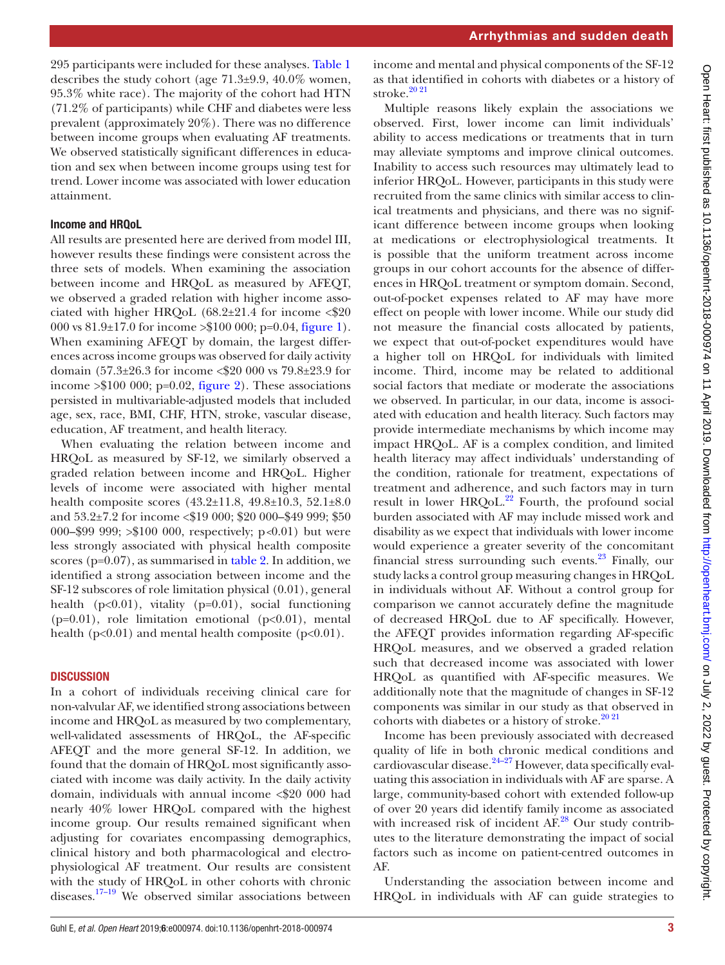295 participants were included for these analyses. [Table](#page-3-0) 1 describes the study cohort (age 71.3±9.9, 40.0% women, 95.3% white race). The majority of the cohort had HTN (71.2% of participants) while CHF and diabetes were less prevalent (approximately 20%). There was no difference between income groups when evaluating AF treatments. We observed statistically significant differences in education and sex when between income groups using test for trend. Lower income was associated with lower education attainment.

### Income and HRQoL

All results are presented here are derived from model III, however results these findings were consistent across the three sets of models. When examining the association between income and HRQoL as measured by AFEQT, we observed a graded relation with higher income associated with higher HRQoL  $(68.2\pm21.4$  for income <\$20 000 vs  $81.9 \pm 17.0$  for income  $\frac{100000}{9}$ ; p=0.04, [figure](#page-4-0) 1). When examining AFEQT by domain, the largest differences across income groups was observed for daily activity domain (57.3±26.3 for income <\$20 000 vs 79.8±23.9 for income  $\geq$ \$100 000; p=0.02, [figure](#page-5-0) 2). These associations persisted in multivariable-adjusted models that included age, sex, race, BMI, CHF, HTN, stroke, vascular disease, education, AF treatment, and health literacy.

When evaluating the relation between income and HRQoL as measured by SF-12, we similarly observed a graded relation between income and HRQoL. Higher levels of income were associated with higher mental health composite scores (43.2±11.8, 49.8±10.3, 52.1±8.0 and 53.2±7.2 for income <\$19 000; \$20 000–\$49 999; \$50 000–\$99 999; >\$100 000, respectively; p*<*0.01) but were less strongly associated with physical health composite scores (p=0.07), as summarised in [table](#page-6-0) 2. In addition, we identified a strong association between income and the SF-12 subscores of role limitation physical (0.01), general health  $(p<0.01)$ , vitality  $(p=0.01)$ , social functioning  $(p=0.01)$ , role limitation emotional  $(p<0.01)$ , mental health ( $p<0.01$ ) and mental health composite ( $p<0.01$ ).

#### **DISCUSSION**

In a cohort of individuals receiving clinical care for non-valvular AF, we identified strong associations between income and HRQoL as measured by two complementary, well-validated assessments of HRQoL, the AF-specific AFEQT and the more general SF-12. In addition, we found that the domain of HRQoL most significantly associated with income was daily activity. In the daily activity domain, individuals with annual income <\$20 000 had nearly 40% lower HRQoL compared with the highest income group. Our results remained significant when adjusting for covariates encompassing demographics, clinical history and both pharmacological and electrophysiological AF treatment. Our results are consistent with the study of HRQoL in other cohorts with chronic diseases[.17–19](#page-7-12) We observed similar associations between

income and mental and physical components of the SF-12 as that identified in cohorts with diabetes or a history of stroke. $20$   $21$ 

Multiple reasons likely explain the associations we observed. First, lower income can limit individuals' ability to access medications or treatments that in turn may alleviate symptoms and improve clinical outcomes. Inability to access such resources may ultimately lead to inferior HRQoL. However, participants in this study were recruited from the same clinics with similar access to clinical treatments and physicians, and there was no significant difference between income groups when looking at medications or electrophysiological treatments. It is possible that the uniform treatment across income groups in our cohort accounts for the absence of differences in HRQoL treatment or symptom domain. Second, out-of-pocket expenses related to AF may have more effect on people with lower income. While our study did not measure the financial costs allocated by patients, we expect that out-of-pocket expenditures would have a higher toll on HRQoL for individuals with limited income. Third, income may be related to additional social factors that mediate or moderate the associations we observed. In particular, in our data, income is associated with education and health literacy. Such factors may provide intermediate mechanisms by which income may impact HRQoL. AF is a complex condition, and limited health literacy may affect individuals' understanding of the condition, rationale for treatment, expectations of treatment and adherence, and such factors may in turn result in lower HRQoL.<sup>[22](#page-7-14)</sup> Fourth, the profound social burden associated with AF may include missed work and disability as we expect that individuals with lower income would experience a greater severity of the concomitant financial stress surrounding such events.<sup>[23](#page-7-15)</sup> Finally, our study lacks a control group measuring changes in HRQoL in individuals without AF. Without a control group for comparison we cannot accurately define the magnitude of decreased HRQoL due to AF specifically. However, the AFEQT provides information regarding AF-specific HRQoL measures, and we observed a graded relation such that decreased income was associated with lower HRQoL as quantified with AF-specific measures. We additionally note that the magnitude of changes in SF-12 components was similar in our study as that observed in cohorts with diabetes or a history of stroke. $20\,21$ 

Income has been previously associated with decreased quality of life in both chronic medical conditions and cardiovascular disease.<sup>24-27</sup> However, data specifically evaluating this association in individuals with AF are sparse. A large, community-based cohort with extended follow-up of over 20 years did identify family income as associated with increased risk of incident  $AF^{28}$  $AF^{28}$  $AF^{28}$  Our study contributes to the literature demonstrating the impact of social factors such as income on patient-centred outcomes in AF.

Understanding the association between income and HRQoL in individuals with AF can guide strategies to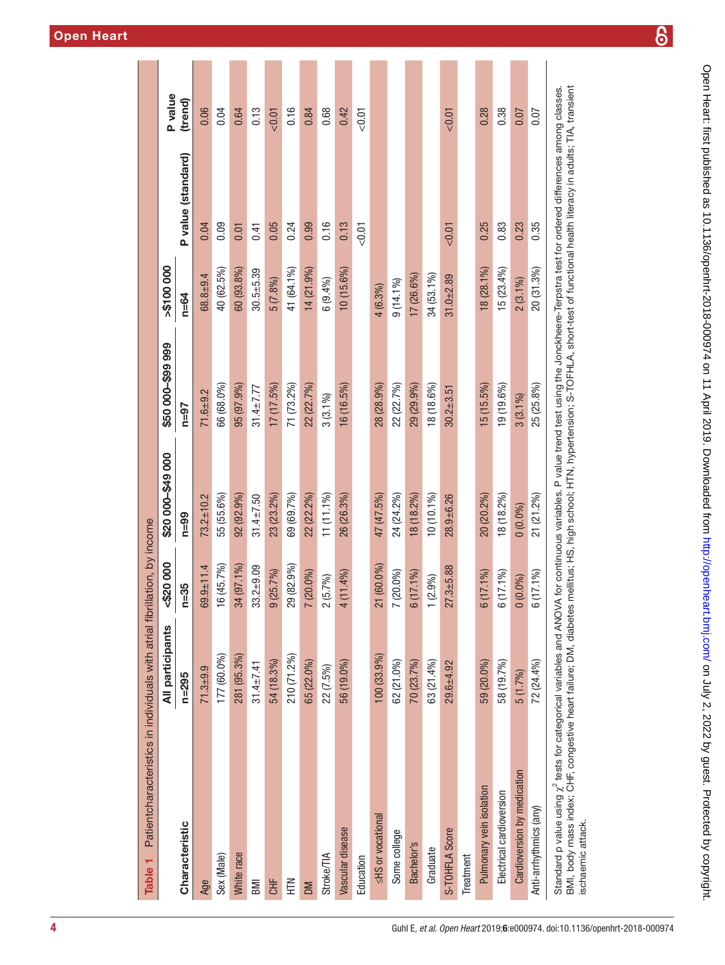| きり きょういこ                                                                                             |
|------------------------------------------------------------------------------------------------------|
|                                                                                                      |
|                                                                                                      |
|                                                                                                      |
|                                                                                                      |
|                                                                                                      |
|                                                                                                      |
|                                                                                                      |
|                                                                                                      |
|                                                                                                      |
|                                                                                                      |
| テア きりつつつつ ロフワーチム                                                                                     |
|                                                                                                      |
|                                                                                                      |
|                                                                                                      |
|                                                                                                      |
|                                                                                                      |
|                                                                                                      |
|                                                                                                      |
|                                                                                                      |
|                                                                                                      |
|                                                                                                      |
|                                                                                                      |
|                                                                                                      |
|                                                                                                      |
|                                                                                                      |
|                                                                                                      |
|                                                                                                      |
|                                                                                                      |
|                                                                                                      |
|                                                                                                      |
| :<br>>><br>>                                                                                         |
|                                                                                                      |
|                                                                                                      |
|                                                                                                      |
|                                                                                                      |
|                                                                                                      |
|                                                                                                      |
|                                                                                                      |
|                                                                                                      |
|                                                                                                      |
|                                                                                                      |
|                                                                                                      |
|                                                                                                      |
|                                                                                                      |
|                                                                                                      |
|                                                                                                      |
|                                                                                                      |
|                                                                                                      |
|                                                                                                      |
|                                                                                                      |
|                                                                                                      |
|                                                                                                      |
|                                                                                                      |
|                                                                                                      |
|                                                                                                      |
|                                                                                                      |
|                                                                                                      |
|                                                                                                      |
|                                                                                                      |
|                                                                                                      |
| Opera Heart: itsta pression. 10: 11/92/0000111760000140 11/00000140010120121110101201212012012120120 |
|                                                                                                      |
|                                                                                                      |
|                                                                                                      |
|                                                                                                      |
|                                                                                                      |
|                                                                                                      |
|                                                                                                      |
|                                                                                                      |
|                                                                                                      |
|                                                                                                      |
|                                                                                                      |
|                                                                                                      |
|                                                                                                      |
|                                                                                                      |
|                                                                                                      |
|                                                                                                      |
|                                                                                                      |
|                                                                                                      |
|                                                                                                      |
|                                                                                                      |
|                                                                                                      |
|                                                                                                      |
|                                                                                                      |
|                                                                                                      |
|                                                                                                      |
| I                                                                                                    |
| t                                                                                                    |
|                                                                                                      |
|                                                                                                      |
|                                                                                                      |
|                                                                                                      |
|                                                                                                      |
|                                                                                                      |
|                                                                                                      |
|                                                                                                      |
|                                                                                                      |
|                                                                                                      |
|                                                                                                      |
|                                                                                                      |
|                                                                                                      |
|                                                                                                      |

<span id="page-3-0"></span>

| Patientcharacteristics in individuals with atrial fibrillation, by income<br>Table <sub>1</sub>                                                                                                                                                                                            |                  |               |                   |                  |               |                                                                                                                            |                |
|--------------------------------------------------------------------------------------------------------------------------------------------------------------------------------------------------------------------------------------------------------------------------------------------|------------------|---------------|-------------------|------------------|---------------|----------------------------------------------------------------------------------------------------------------------------|----------------|
|                                                                                                                                                                                                                                                                                            | All participants | 5820000       | \$20 000-\$49 000 | \$99 999-000 058 | ○○ 000 00     |                                                                                                                            | <b>P</b> value |
| Characteristic                                                                                                                                                                                                                                                                             | $n = 295$        | $n = 35$      | $n = 99$          | $n = 97$         | $n = 64$      | P value (standard)                                                                                                         | (trend)        |
| Age                                                                                                                                                                                                                                                                                        | $71.3 + 9.9$     | $39.9 + 11.4$ | $73.2 + 10.2$     | $71.6 + 9.2$     | $68.8 + 9.4$  | 0.04                                                                                                                       | 0.06           |
| Sex (Male)                                                                                                                                                                                                                                                                                 | 177 (60.0%)      | 6(45.7%)      | 55 (55.6%)        | 66 (68.0%)       | 40 (62.5%)    | 0.09                                                                                                                       | 0.04           |
| White race                                                                                                                                                                                                                                                                                 | 281 (95.3%)      | 34 (97.1%)    | 92 (92.9%)        | 95 (97.9%)       | 60(93.8%)     | 0.01                                                                                                                       | 0.64           |
| BMI                                                                                                                                                                                                                                                                                        | $31.4 + 7.41$    | $33.2 + 9.09$ | $31.4 + 7.50$     | $31.4 + 7.77$    | $30.5 + 5.39$ | 0.41                                                                                                                       | 0.13           |
| 告                                                                                                                                                                                                                                                                                          | 54 (18.3%)       | 9(25.7%)      | 23 (23.2%)        | $17(17.5\%)$     | 5(7.8%)       | 0.05                                                                                                                       | $-0.01$        |
| NLH<br>H                                                                                                                                                                                                                                                                                   | 210 (71.2%)      | 29 (82.9%)    | 69 (69.7%)        | 71 (73.2%)       | 41 (64.1%)    | 0.24                                                                                                                       | 0.16           |
| <b>NO</b>                                                                                                                                                                                                                                                                                  | 65 (22.0%)       | $7(20.0\%)$   | 22 (22.2%)        | 22 (22.7%)       | 14 (21.9%)    | 0.99                                                                                                                       | 0.84           |
| <b>Stroke/TIA</b>                                                                                                                                                                                                                                                                          | 22 (7.5%)        | 2(5.7%)       | $11(11.1\%)$      | $3(3.1\%)$       | 6(9.4%)       | 0.16                                                                                                                       | 0.68           |
| Vascular disease                                                                                                                                                                                                                                                                           | 56 (19.0%)       | $4(11.4\%)$   | 26 (26.3%)        | 16 (16.5%)       | 10(15.6%)     | 0.13                                                                                                                       | 0.42           |
| Education                                                                                                                                                                                                                                                                                  |                  |               |                   |                  |               | $-0.01$                                                                                                                    | $-0.01$        |
| ≤HS or vocational                                                                                                                                                                                                                                                                          | 100 (33.9%)      | 21 (60.0%)    | 47 (47.5%)        | 28 (28.9%)       | 4(6.3%)       |                                                                                                                            |                |
| Some college                                                                                                                                                                                                                                                                               | 62 (21.0%)       | 7(20.0%)      | 24 (24.2%)        | 22 (22.7%)       | $9(14.1\%)$   |                                                                                                                            |                |
| Bachelor's                                                                                                                                                                                                                                                                                 | 70 (23.7%)       | $6(17.1\%)$   | 18 (18.2%)        | 29 (29.9%)       | 17 (26.6%)    |                                                                                                                            |                |
| Graduate                                                                                                                                                                                                                                                                                   | 63 (21.4%)       | 1(2.9%)       | 10 (10.1%)        | 18 (18.6%)       | 34 (53.1%)    |                                                                                                                            |                |
| S-TOHFLA Score                                                                                                                                                                                                                                                                             | $29.6 + 4.92$    | $27.3 + 5.88$ | $28.9 + 6.26$     | $30.2 + 3.51$    | $31.0 + 2.89$ | 50.07                                                                                                                      | $-0.01$        |
| Treatment                                                                                                                                                                                                                                                                                  |                  |               |                   |                  |               |                                                                                                                            |                |
| Pulmonary vein isolation                                                                                                                                                                                                                                                                   | 59 (20.0%)       | $6(17.1\%)$   | 20 (20.2%)        | 15(15.5%)        | $18(28.1\%)$  | 0.25                                                                                                                       | 0.28           |
| Electrical cardioversion                                                                                                                                                                                                                                                                   | 58 (19.7%)       | $6(17.1\%)$   | 18 (18.2%)        | 19 (19.6%)       | $15(23.4\%)$  | 0.83                                                                                                                       | 0.38           |
| Cardioversion by medication                                                                                                                                                                                                                                                                | 5(1.7%)          | $0.0\%$       | 0(0.0%            | 3(3.1%)          | $2(3.1\%)$    | 0.23                                                                                                                       | 0.07           |
| Anti-arrhythmics (any)                                                                                                                                                                                                                                                                     | 72 (24.4%)       | $6(17.1\%)$   | 21 (21.2%)        | 25 (25.8%)       | 20 (31.3%)    | 0.35                                                                                                                       | 0.07           |
| Standard p value using $\chi^2$ tests for categorical variables and ANOVA for continuous variables. P value trend test using the Jonckheere-Terpstra test for ordered differences among classes.<br>BMI, body mass index; CHF, congestive heart failure; DM, diabetes<br>ischaemic attack. |                  |               |                   |                  |               | mellitus; HS, high school; HTN, hypertension; S-TOFHLA, short-test of functional health literacy in adults; TIA, transient |                |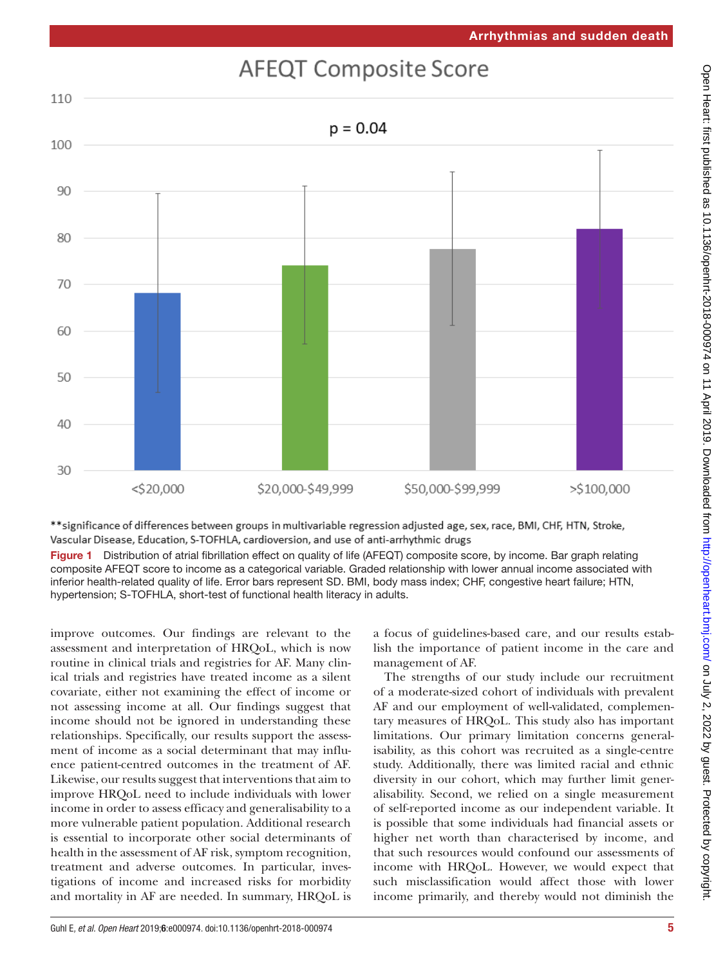# **AFEQT Composite Score**



<span id="page-4-0"></span>\*\*significance of differences between groups in multivariable regression adjusted age, sex, race, BMI, CHF, HTN, Stroke, Vascular Disease, Education, S-TOFHLA, cardioversion, and use of anti-arrhythmic drugs

Figure 1 Distribution of atrial fibrillation effect on quality of life (AFEQT) composite score, by income. Bar graph relating composite AFEQT score to income as a categorical variable. Graded relationship with lower annual income associated with inferior health-related quality of life. Error bars represent SD. BMI, body mass index; CHF, congestive heart failure; HTN, hypertension; S-TOFHLA, short-test of functional health literacy in adults.

improve outcomes. Our findings are relevant to the assessment and interpretation of HRQoL, which is now routine in clinical trials and registries for AF. Many clinical trials and registries have treated income as a silent covariate, either not examining the effect of income or not assessing income at all. Our findings suggest that income should not be ignored in understanding these relationships. Specifically, our results support the assessment of income as a social determinant that may influence patient-centred outcomes in the treatment of AF. Likewise, our results suggest that interventions that aim to improve HRQoL need to include individuals with lower income in order to assess efficacy and generalisability to a more vulnerable patient population. Additional research is essential to incorporate other social determinants of health in the assessment of AF risk, symptom recognition, treatment and adverse outcomes. In particular, investigations of income and increased risks for morbidity and mortality in AF are needed. In summary, HRQoL is

a focus of guidelines-based care, and our results establish the importance of patient income in the care and management of AF.

The strengths of our study include our recruitment of a moderate-sized cohort of individuals with prevalent AF and our employment of well-validated, complementary measures of HRQoL. This study also has important limitations. Our primary limitation concerns generalisability, as this cohort was recruited as a single-centre study. Additionally, there was limited racial and ethnic diversity in our cohort, which may further limit generalisability. Second, we relied on a single measurement of self-reported income as our independent variable. It is possible that some individuals had financial assets or higher net worth than characterised by income, and that such resources would confound our assessments of income with HRQoL. However, we would expect that such misclassification would affect those with lower income primarily, and thereby would not diminish the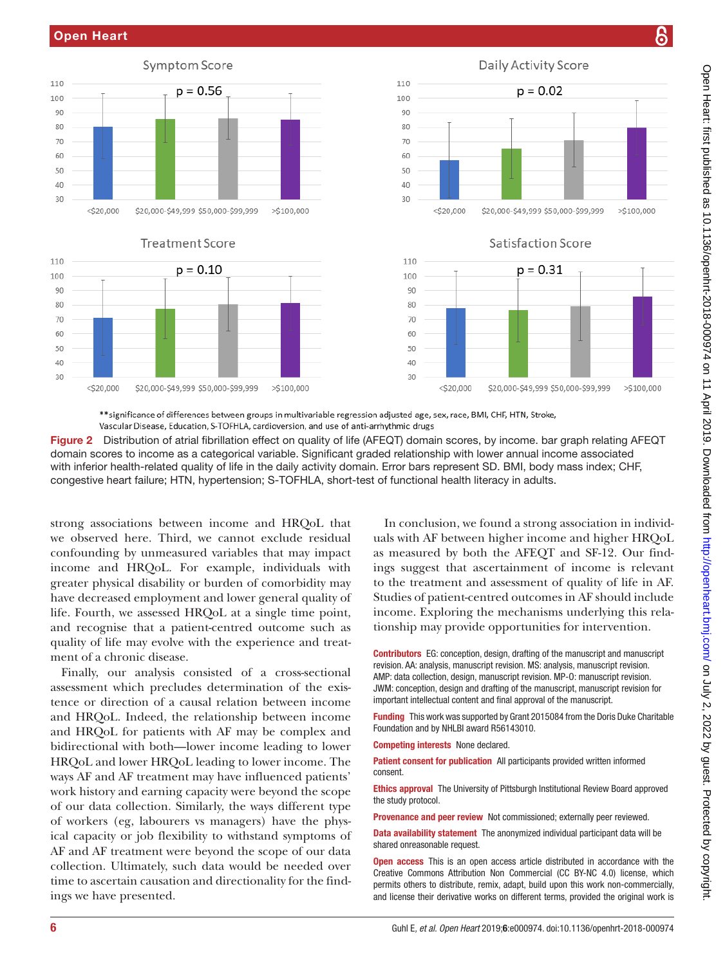

# **Treatment Score**





\$20,000-\$49,999 \$50,000-\$99,999

 $>5100.000$ 



\*\*significance of differences between groups in multivariable regression adjusted age, sex, race, BMI, CHF, HTN, Stroke, Vascular Disease, Education, S-TOFHLA, cardioversion, and use of anti-arrhythmic drugs

<span id="page-5-0"></span>Figure 2 Distribution of atrial fibrillation effect on quality of life (AFEQT) domain scores, by income. bar graph relating AFEQT domain scores to income as a categorical variable. Significant graded relationship with lower annual income associated with inferior health-related quality of life in the daily activity domain. Error bars represent SD. BMI, body mass index; CHF, congestive heart failure; HTN, hypertension; S-TOFHLA, short-test of functional health literacy in adults.

30

 $<$ \$20,000

strong associations between income and HRQoL that we observed here. Third, we cannot exclude residual confounding by unmeasured variables that may impact income and HRQoL. For example, individuals with greater physical disability or burden of comorbidity may have decreased employment and lower general quality of life. Fourth, we assessed HRQoL at a single time point, and recognise that a patient-centred outcome such as quality of life may evolve with the experience and treatment of a chronic disease.

Finally, our analysis consisted of a cross-sectional assessment which precludes determination of the existence or direction of a causal relation between income and HRQoL. Indeed, the relationship between income and HRQoL for patients with AF may be complex and bidirectional with both—lower income leading to lower HRQoL and lower HRQoL leading to lower income. The ways AF and AF treatment may have influenced patients' work history and earning capacity were beyond the scope of our data collection. Similarly, the ways different type of workers (eg, labourers vs managers) have the physical capacity or job flexibility to withstand symptoms of AF and AF treatment were beyond the scope of our data collection. Ultimately, such data would be needed over time to ascertain causation and directionality for the findings we have presented.

In conclusion, we found a strong association in individuals with AF between higher income and higher HRQoL as measured by both the AFEQT and SF-12. Our findings suggest that ascertainment of income is relevant to the treatment and assessment of quality of life in AF. Studies of patient-centred outcomes in AF should include income. Exploring the mechanisms underlying this relationship may provide opportunities for intervention.

Contributors EG: conception, design, drafting of the manuscript and manuscript revision. AA: analysis, manuscript revision. MS: analysis, manuscript revision. AMP: data collection, design, manuscript revision. MP-O: manuscript revision. JWM: conception, design and drafting of the manuscript, manuscript revision for important intellectual content and final approval of the manuscript.

Funding This work was supported by Grant 2015084 from the Doris Duke Charitable Foundation and by NHLBI award R56143010.

Competing interests None declared.

Patient consent for publication All participants provided written informed consent.

**Ethics approval** The University of Pittsburgh Institutional Review Board approved the study protocol.

Provenance and peer review Not commissioned; externally peer reviewed.

Data availability statement The anonymized individual participant data will be shared onreasonable request.

Open access This is an open access article distributed in accordance with the Creative Commons Attribution Non Commercial (CC BY-NC 4.0) license, which permits others to distribute, remix, adapt, build upon this work non-commercially, and license their derivative works on different terms, provided the original work is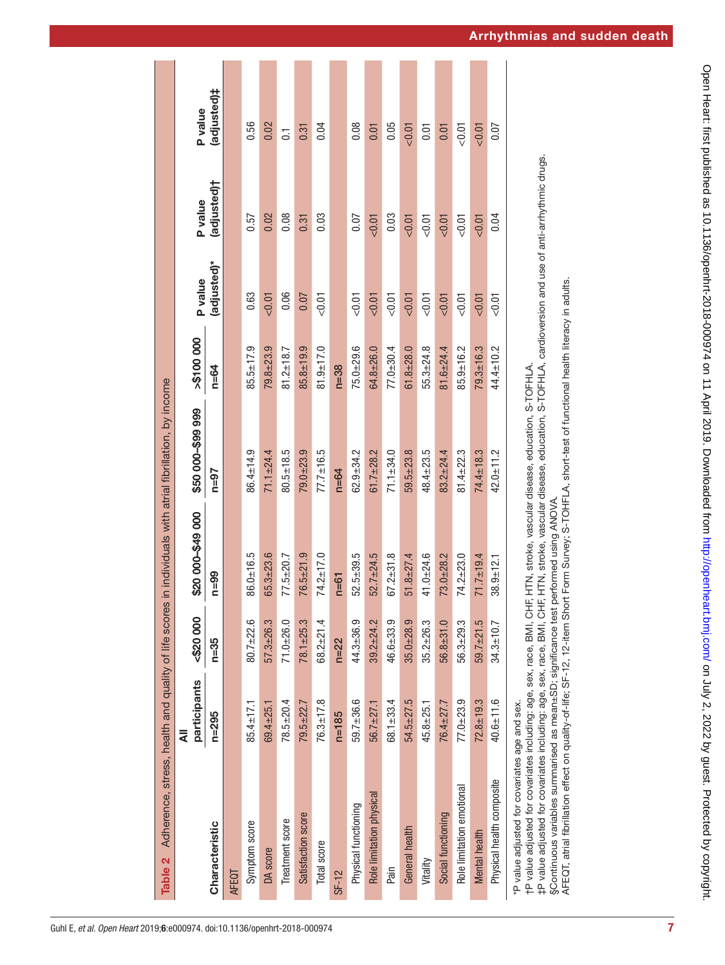<span id="page-6-0"></span>

| Guhl E. et al. Open Heart 2019:6:e000974. doi:10.1136/openhrt-2018-000974 |  |
|---------------------------------------------------------------------------|--|
|---------------------------------------------------------------------------|--|

| Table 2 Adherence, stress, health and quality of life scores                                                                                                                                    |                 |               |                   | in individuals with atrial fibrillation, by income                                                                                                         |                 |            |             |                |
|-------------------------------------------------------------------------------------------------------------------------------------------------------------------------------------------------|-----------------|---------------|-------------------|------------------------------------------------------------------------------------------------------------------------------------------------------------|-----------------|------------|-------------|----------------|
|                                                                                                                                                                                                 | ₹               |               |                   |                                                                                                                                                            |                 |            |             |                |
|                                                                                                                                                                                                 | participants    | <\$20 000     | \$20 000-\$49 000 | \$50 000-\$99 999                                                                                                                                          | $-$ \$100 000   | P value    | P value     | <b>P</b> value |
| Characteristic                                                                                                                                                                                  | $n = 295$       | $n = 35$      | $n = 99$          | $n = 97$                                                                                                                                                   | $n = 64$        | adjusted)* | (adjusted)† | adjusted)#     |
| AFEQT                                                                                                                                                                                           |                 |               |                   |                                                                                                                                                            |                 |            |             |                |
| Symptom score                                                                                                                                                                                   | $85.4 \pm 17.1$ | $80.7 + 22.6$ | 86.0±16.5         | $86.4 \pm 14.9$                                                                                                                                            | $85.5 \pm 17.9$ | 0.63       | 0.57        | 0.56           |
| DA score                                                                                                                                                                                        | $69.4 + 25.1$   | $57.3 + 26.3$ | $65.3 + 23.6$     | $71.1 + 24.4$                                                                                                                                              | 79.8±23.9       | $-0.01$    | 0.02        | 0.02           |
| Treatment score                                                                                                                                                                                 | $78.5 + 20.4$   | $71.0 + 26.0$ | $77.5 + 20.7$     | $80.5 \pm 18.5$                                                                                                                                            | $81.2 \pm 18.7$ | 0.06       | 0.08        | $\overline{0}$ |
| Satisfaction score                                                                                                                                                                              | $79.5 + 22.7$   | $78.1 + 25.3$ | $76.5 + 21.9$     | $79.0 + 23.9$                                                                                                                                              | $85.8 + 19.9$   | 0.07       | 0.31        | 0.31           |
| Total score                                                                                                                                                                                     | $76.3 \pm 17.8$ | $68.2 + 21.4$ | $74.2 + 17.0$     | $77.7 \pm 16.5$                                                                                                                                            | $81.9 + 17.0$   | $-0.01$    | 0.03        | 0.04           |
| $SF-12$                                                                                                                                                                                         | $n = 185$       | $n=22$        | $n = 61$          | $n = 64$                                                                                                                                                   | $n = 38$        |            |             |                |
| Physical functioning                                                                                                                                                                            | 59.7±36.6       | 44.3±36.9     | $52.5 + 39.5$     | $62.9 + 34.2$                                                                                                                                              | 75.0±29.6       | $-0.01$    | 0.07        | 0.08           |
| Role limitation physical                                                                                                                                                                        | $56.7 + 27.1$   | $39.2 + 24.2$ | $52.7 + 24.5$     | $61.7 + 28.2$                                                                                                                                              | $64.8 + 26.0$   | < 0.01     | < 0.01      | 0.01           |
| Pain                                                                                                                                                                                            | $68.1 + 33.4$   | 46.6±33.9     | $67.2 + 31.8$     | $71.1 + 34.0$                                                                                                                                              | $77.0 + 30.4$   | $-0.01$    | 0.03        | 0.05           |
| General health                                                                                                                                                                                  | $54.5 + 27.5$   | $35.0 + 28.9$ | $51.8 + 27.4$     | $59.5 + 23.8$                                                                                                                                              | $61.8 + 28.0$   | $-0.01$    | < 0.01      | < 0.01         |
| Vitality                                                                                                                                                                                        | $45.8 + 25.1$   | $35.2 + 26.3$ | 41.0 $\pm$ 24.6   | $48.4 + 23.5$                                                                                                                                              | $55.3 + 24.8$   | $-0.01$    | < 0.01      | 0.01           |
| Social functioning                                                                                                                                                                              | 76.4±27.7       | $56.8 + 31.0$ | $73.0 + 28.2$     | $83.2 + 24.4$                                                                                                                                              | $81.6 + 24.4$   | $-0.01$    | < 0.01      | 0.01           |
| Role limitation emotional                                                                                                                                                                       | $77.0 + 23.9$   | $56.3 + 29.3$ | $74.2 + 23.0$     | $81.4 + 22.3$                                                                                                                                              | $85.9 + 16.2$   | $-0.01$    | $-0.01$     | < 0.01         |
| Mental health                                                                                                                                                                                   | $72.8 + 19.3$   | $59.7 + 21.5$ | $71.7 + 19.4$     | $74.4 + 18.3$                                                                                                                                              | $79.3 + 16.3$   | $-0.01$    | $-0.01$     | < 0.01         |
| Physical health composite                                                                                                                                                                       | $40.6 + 11.6$   | $34.3 + 10.7$ | $38.9 + 12.1$     | $42.0 + 11.2$                                                                                                                                              | 44.4±10.2       | $-0.01$    | 0.04        | 0.07           |
| tP value adjusted for covariates including: age, sex, race, BMI, CHF,<br>‡P value adjusted for covariates including: age, sex, race, BMI, CHF,<br>*P value adjusted for covariates age and sex. |                 |               |                   | HTN, stroke, vascular disease, education, S-TOFHLA, cardioversion and use of anti-arrhythmic drugs.<br>HTN, stroke, vascular disease, education, S-TOFHLA. |                 |            |             |                |

‡P value adjusted for covariates including: age, sex, race, BMI, CHF, HTN, stroke, vascular disease, education, S-TOFHLA, cardioversion and us<br>§Continuous variables summarised as mean±SD; significance test performed using §Continuous variables summarised as mean±SD; significance test performed using ANOVA.

AFEQT, atrial fibrillation effect on quality-of-life; SF-12, 12-item Short Form Survey; S-TOHFLA, short-test of functional health literacy in adults.